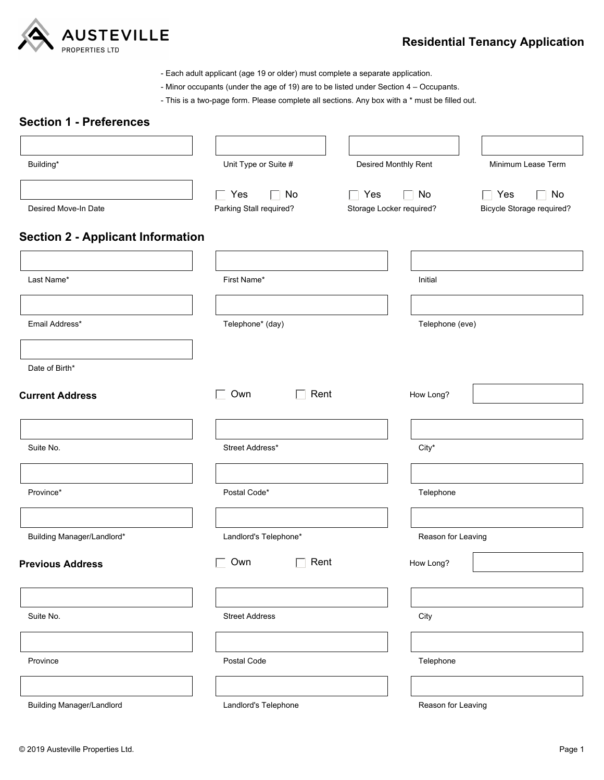

## **Residential Tenancy Application**

- Each adult applicant (age 19 or older) must complete a separate application.

- Minor occupants (under the age of 19) are to be listed under Section 4 Occupants.
- This is a two-page form. Please complete all sections. Any box with a \* must be filled out.

# **Section 1 - Preferences** Building\* Building\* Unit Type or Suite # Desired Move-In Date Desired Monthly Rent Minimum Lease Term Parking Stall required?  $\Box$  Own  $\Box$  Rent  $\Box$  Own  $\Box$  Rent  $\Box$  Yes  $\Box$  No **Section 2 - Applicant Information** Last Name\* Initial American Communication of the First Name\* Initial American Communication of the Initial American Communication of the Initial American Communication of the Initial American Communication of the Initial A Email Address\* Telephone\* (day) Telephone (eve) Date of Birth\* Suite No. 6 No. 2012 12:30 Street Address\* City\* City\* City\* City\* City\* City\* City\* City\* City\* City\* City\* City\* City\* City\* City\* City\* City\* City\* City\* City\* City\* City\* City\* City\* City\* City\* City\* City\* City\* City\* **Current Address** How Long? ■ Interval Current Address ■ Interval Current Address ■ Interval Current Address ■ Interval Current Address ■ Interval Current Address ■ Interval Current Address ■ Interval Current Address ■ In Province\* Postal Code\* Telephone Building Manager/Landlord\* discussed by Landlord's Telephone\* Province Building Manager/Landlord Landlord's Telephone Postal Code Reason for Leaving Telephone Suite No. 2008 City Street Address City Street Address City City City City City Street Address City City City Reason for Leaving **Previous Address How Long? COMPONE COMPONE CONSTRESS FOR A How Long?** Storage Locker required?  $\Box$  Yes  $\Box$  No Bicycle Storage required?  $\Box$  Yes  $\Box$  No